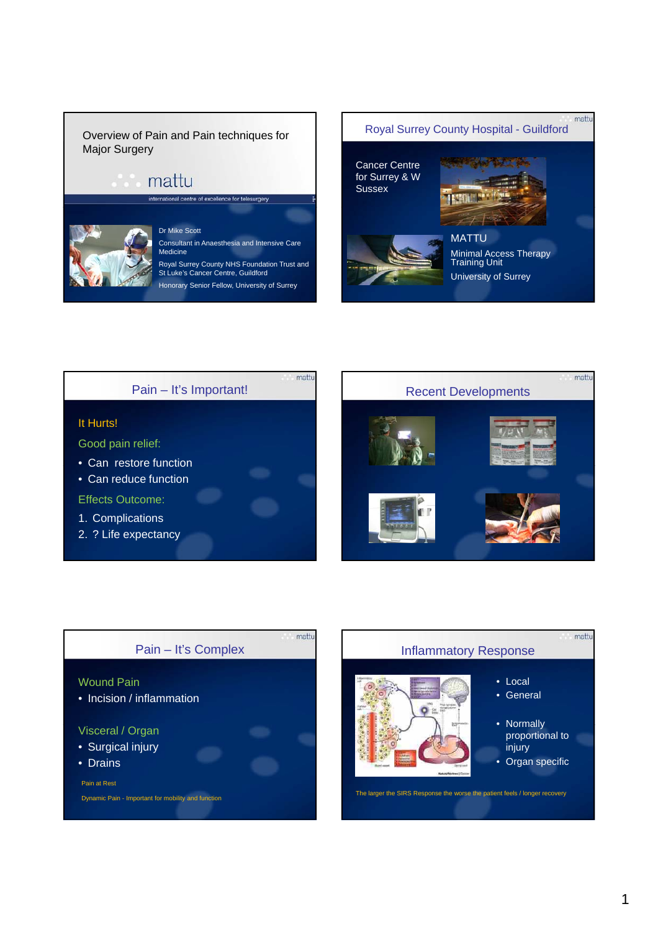#### Overview of Pain and Pain techniques for Major Surgery

# mattu



#### Dr Mike Scott Consultant in Anaesthesia and Intensive Care Medicine

Royal Surrey County NHS Foundation Trust and St Luke's Cancer Centre, Guildford Honorary Senior Fellow, University of Surrey





mattu



# Pain – It's Complex

#### Wound Pain

• Incision / inflammation

#### Visceral / Organ

- Surgical injury
- Drains

#### Pain at Rest

Dynamic Pain - Important for mobility and function

# mattu Inflammatory Response • Local • General • Normally proportional to injury • Organ specific

The larger the SIRS Response the worse the patient feels / longer recovery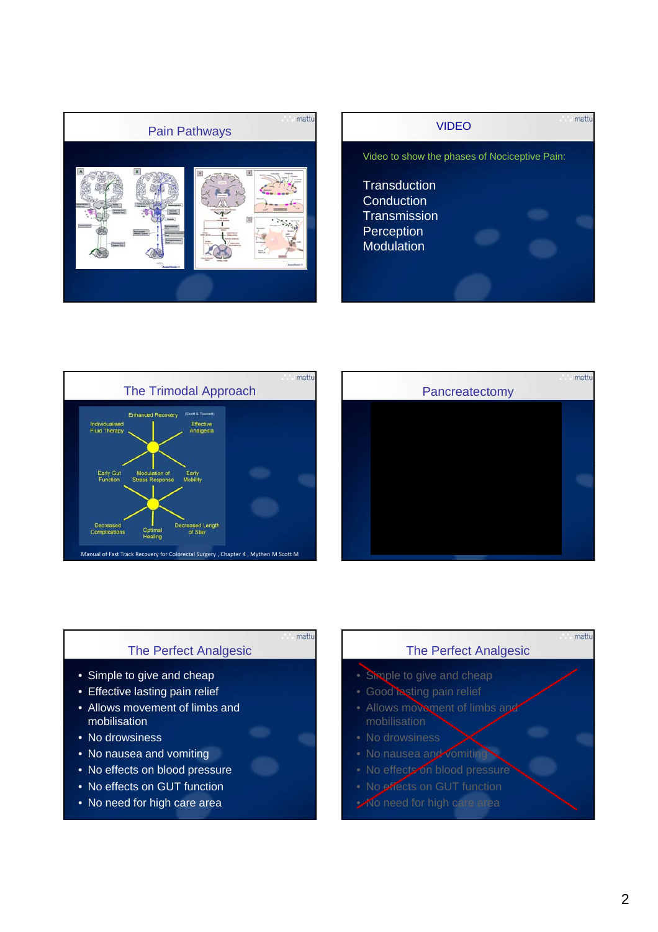







#### The Perfect Analgesic

mattu

- Simple to give and cheap
- Effective lasting pain relief
- Allows movement of limbs and mobilisation
- No drowsiness
- No nausea and vomiting
- No effects on blood pressure
- No effects on GUT function
- No need for high care area

#### The Perfect Analgesic

- Simple to give and cheap
- Good *iasting pain relief*
- Allows movement of limbs and mobilisation
- No drowsiness
- No nausea and vomiting
- 
- No effects on GUT function
- No need for high care area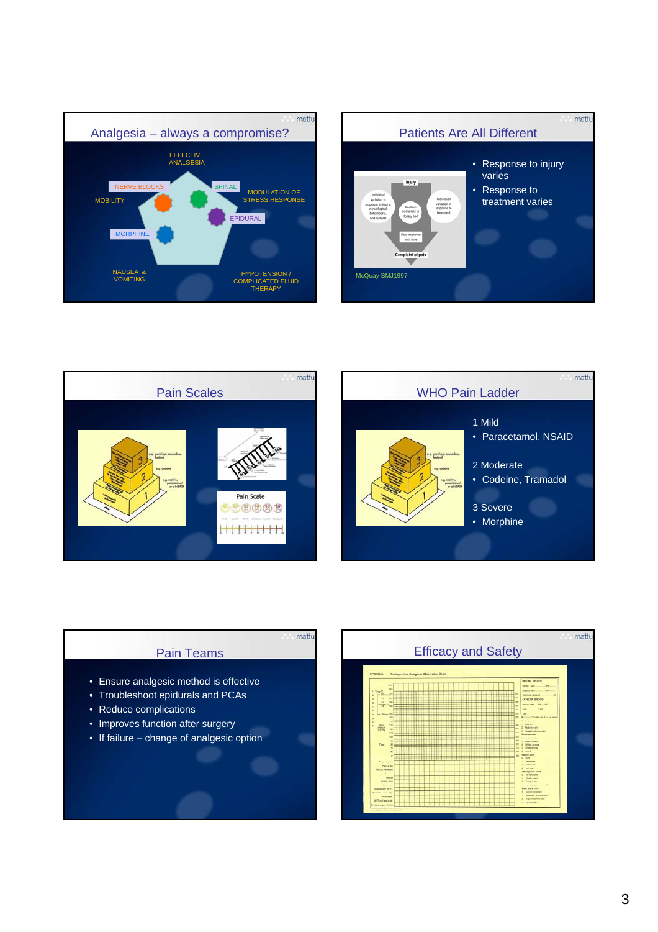







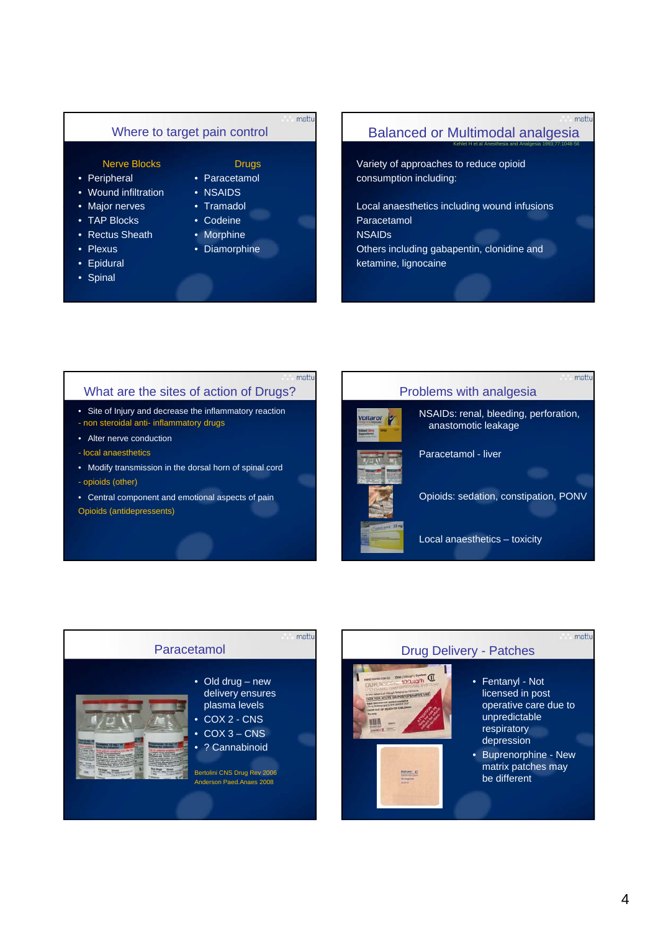#### Where to target pain control

#### Nerve Blocks

- Peripheral
- Wound infiltration
- Major nerves Tramadol
- TAP Blocks
- Rectus Sheath
- Plexus
- Epidural
- Spinal

mattu

mattu

- Drugs • Paracetamol
- NSAIDS
- 
- 
- Codeine • Morphine
- 
- Diamorphine

#### Balanced or Multimodal analgesia

Kehlet H et al Anesthesia and Analgesia 1993;77:1048-56

mattu

mattu

mattu

Variety of approaches to reduce opioid consumption including:

Local anaesthetics including wound infusions Paracetamol NSAIDs Others including gabapentin, clonidine and ketamine, lignocaine

#### What are the sites of action of Drugs?

• Site of Injury and decrease the inflammatory reaction - non steroidal anti- inflammatory drugs

- Alter nerve conduction
- local anaesthetics
- Modify transmission in the dorsal horn of spinal cord - opioids (other)
- Central component and emotional aspects of pain

Opioids (antidepressents)



NSAIDs: renal, bleeding, perforation, anastomotic leakage

Opioids: sedation, constipation, PONV

Local anaesthetics – toxicity



#### Drug Delivery - Patches



# **Notary C**<br>Harphare

- Fentanyl Not licensed in post operative care due to unpredictable respiratory depression
- Buprenorphine New matrix patches may be different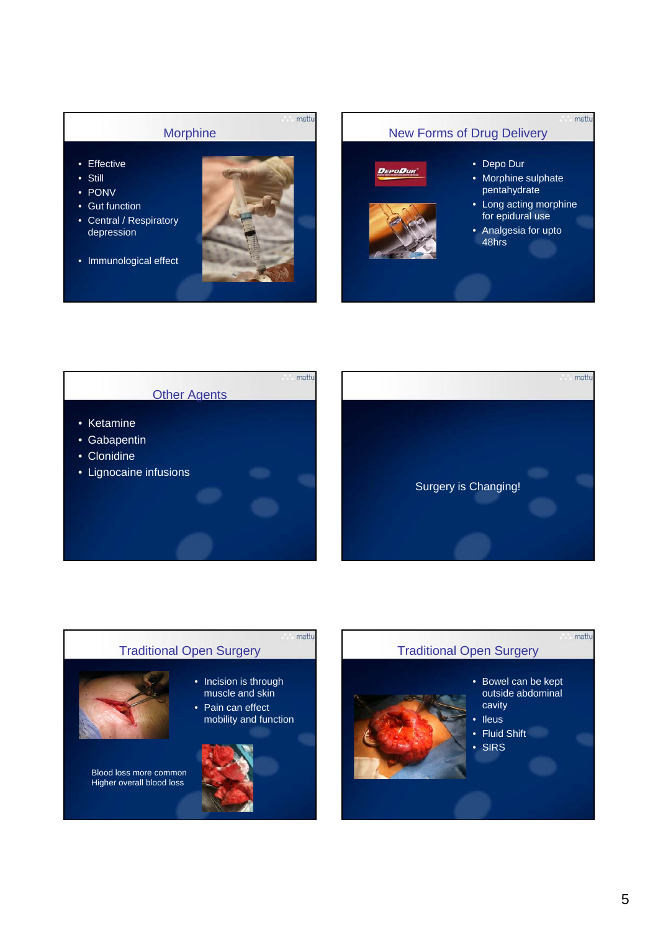







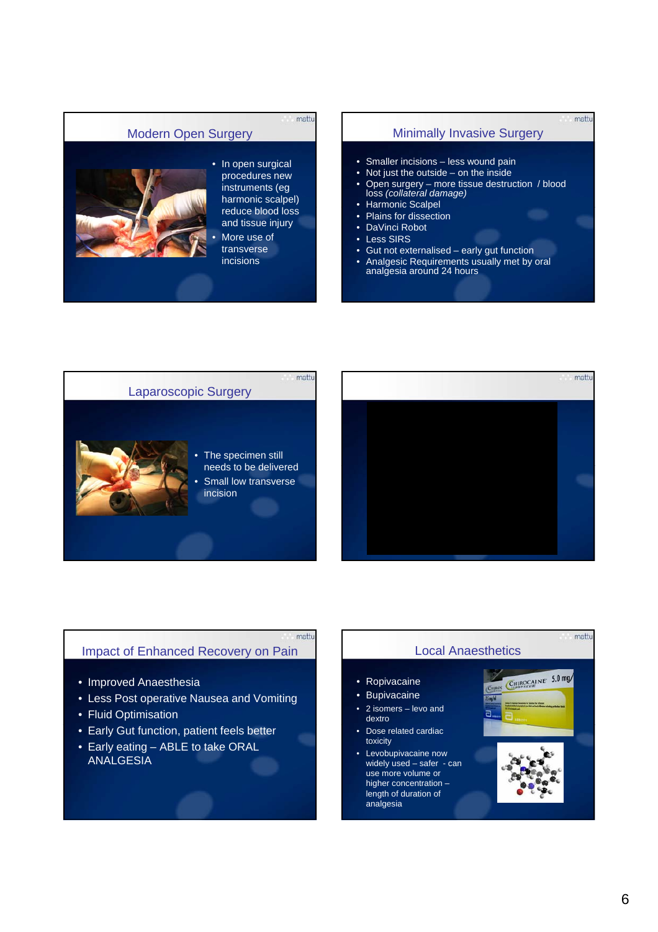#### Modern Open Surgery



#### • In open surgical procedures new instruments (eg harmonic scalpel) reduce blood loss and tissue injury More use of transverse

mattu

incisions

#### Minimally Invasive Surgery

mattu

- Smaller incisions less wound pain
- Not just the outside on the inside
- Open surgery more tissue destruction / blood loss *(collateral damage)*
- **Harmonic Scalpel**
- Plains for dissection
- DaVinci Robot
- Less SIRS
- Gut not externalised early gut function
- Analgesic Requirements usually met by oral analgesia around 24 hours





#### Impact of Enhanced Recovery on Pain

- Improved Anaesthesia
- Less Post operative Nausea and Vomiting
- Fluid Optimisation
- Early Gut function, patient feels better
- Early eating ABLE to take ORAL ANALGESIA

#### Local Anaesthetics

• Ropivacaine

mattu

- Bupivacaine
- 2 isomers levo and dextro
- Dose related cardiac toxicity
- Levobupivacaine now widely used – safer - can use more volume or higher concentration – length of duration of analgesia



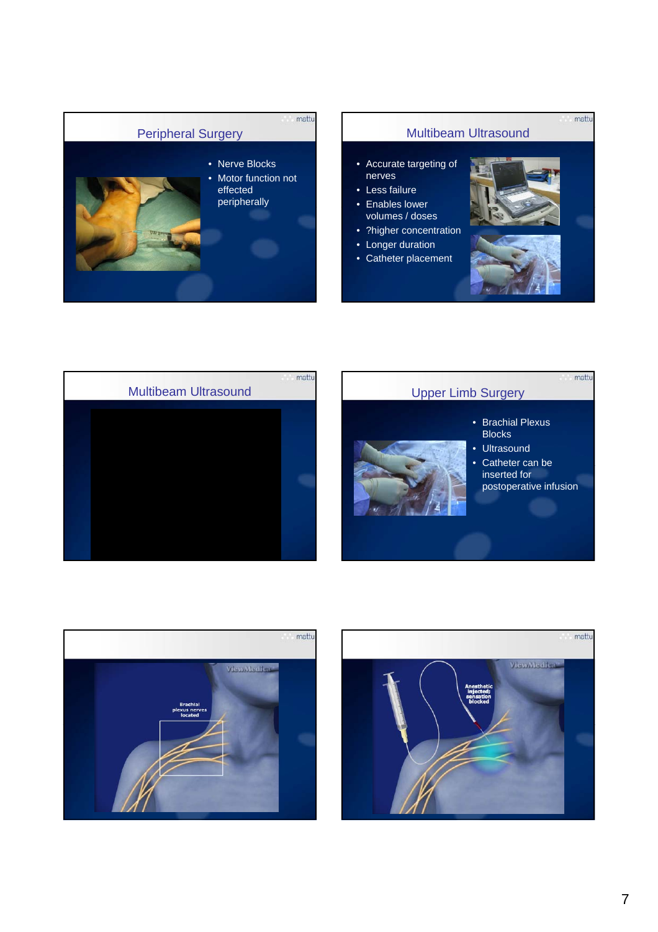

#### Multibeam Ultrasound

- Accurate targeting of nerves
- Less failure  $\bullet$  Enables lower
- volumes / doses
- ?higher concentration • Longer duration
- Catheter placement



mattu



- Brachial Plexus **Blocks**
- Ultrasound
- Catheter can be
	- inserted for postoperative infusion



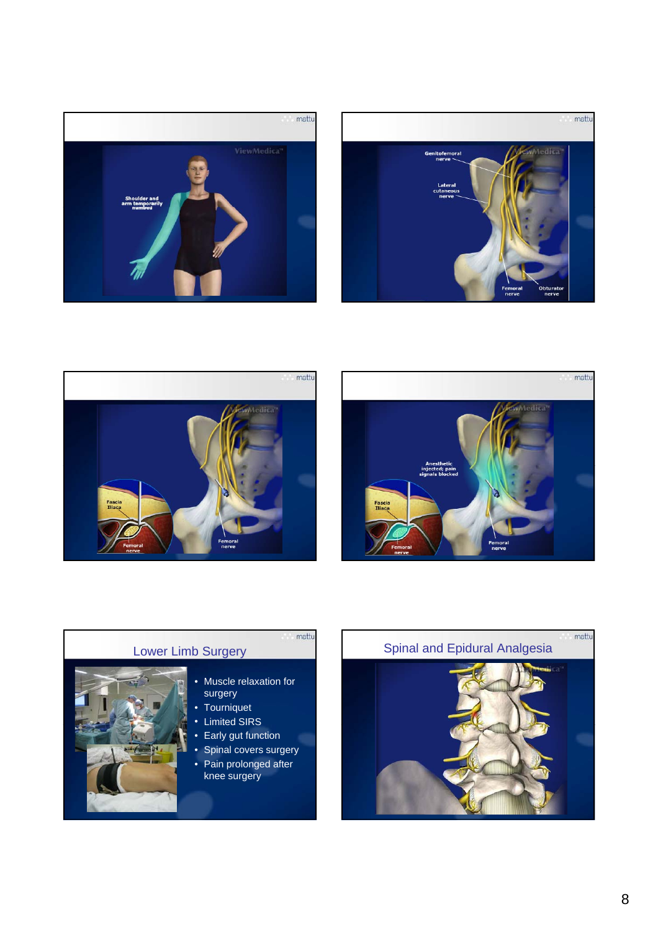







### Lower Limb Surgery

• Muscle relaxation for surgery

- Tourniquet
- Limited SIRS
- Early gut function
- Spinal covers surgery
- Pain prolonged after knee surgery

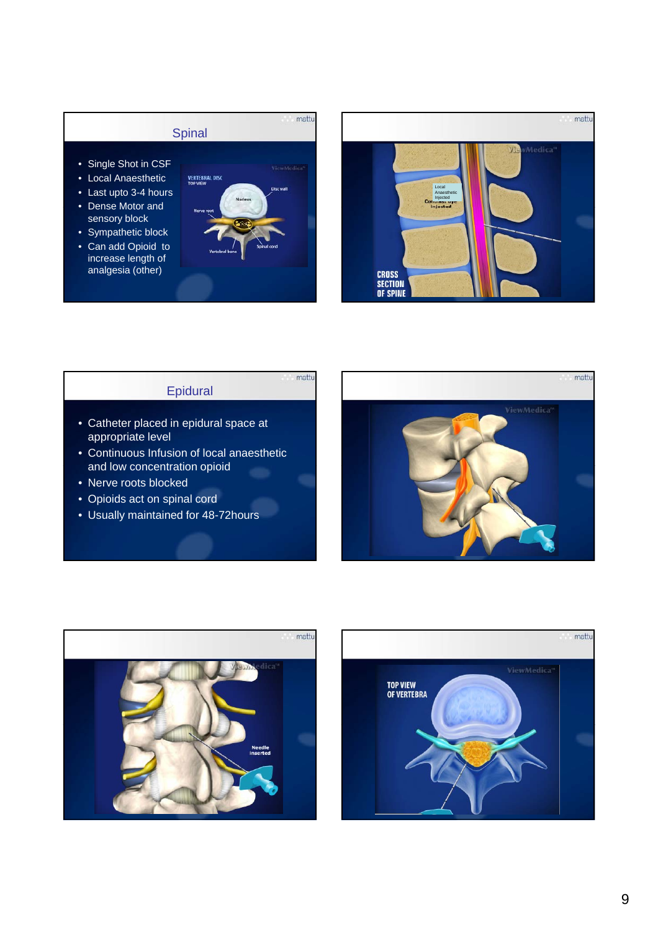# mattu **Spinal**

- Single Shot in CSF
- Local Anaesthetic
- Last upto 3-4 hours
- Dense Motor and sensory block
- Sympathetic block
- Can add Opioid to increase length of analgesia (other)



mattu



#### Epidural

- Catheter placed in epidural space at appropriate level
- Continuous Infusion of local anaesthetic and low concentration opioid
- Nerve roots blocked
- Opioids act on spinal cord
- Usually maintained for 48-72hours





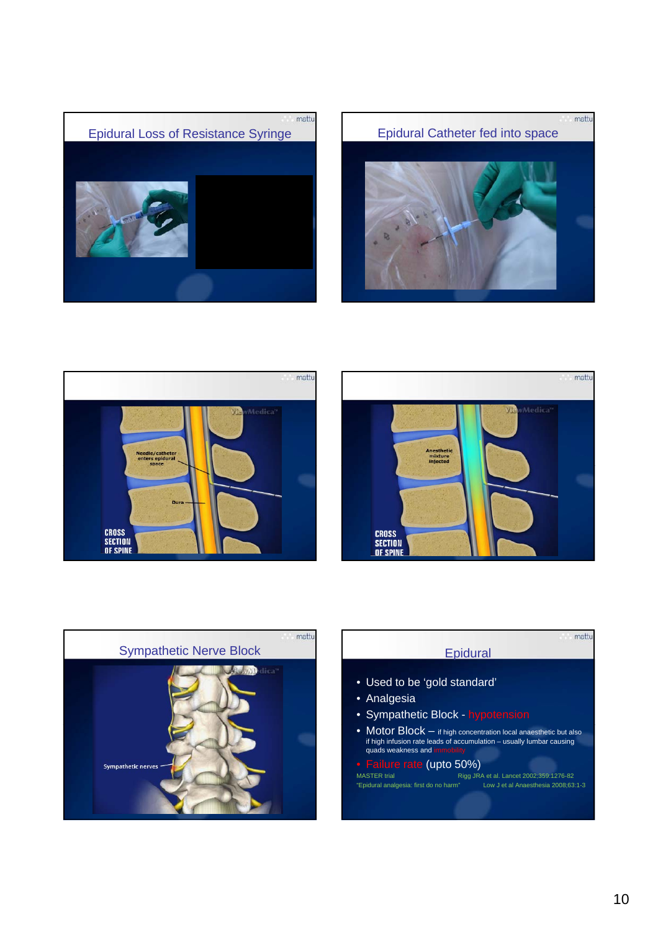









| <b>Epidural</b><br>• Used to be 'gold standard'<br>• Sympathetic Block - hypotension<br>• Motor $Block - if$ high concentration local anaesthetic but also<br>if high infusion rate leads of accumulation – usually lumbar causing<br>quads weakness and immobility<br>• Failure rate (upto 50%)<br>Rigg JRA et al. Lancet 2002;359:1276-82<br>"Epidural analgesia: first do no harm"<br>Low J et al Anaesthesia 2008;63:1-3 |                     |  |
|------------------------------------------------------------------------------------------------------------------------------------------------------------------------------------------------------------------------------------------------------------------------------------------------------------------------------------------------------------------------------------------------------------------------------|---------------------|--|
|                                                                                                                                                                                                                                                                                                                                                                                                                              |                     |  |
|                                                                                                                                                                                                                                                                                                                                                                                                                              |                     |  |
|                                                                                                                                                                                                                                                                                                                                                                                                                              |                     |  |
|                                                                                                                                                                                                                                                                                                                                                                                                                              | • Analgesia         |  |
|                                                                                                                                                                                                                                                                                                                                                                                                                              |                     |  |
|                                                                                                                                                                                                                                                                                                                                                                                                                              |                     |  |
|                                                                                                                                                                                                                                                                                                                                                                                                                              |                     |  |
|                                                                                                                                                                                                                                                                                                                                                                                                                              | <b>MASTER trial</b> |  |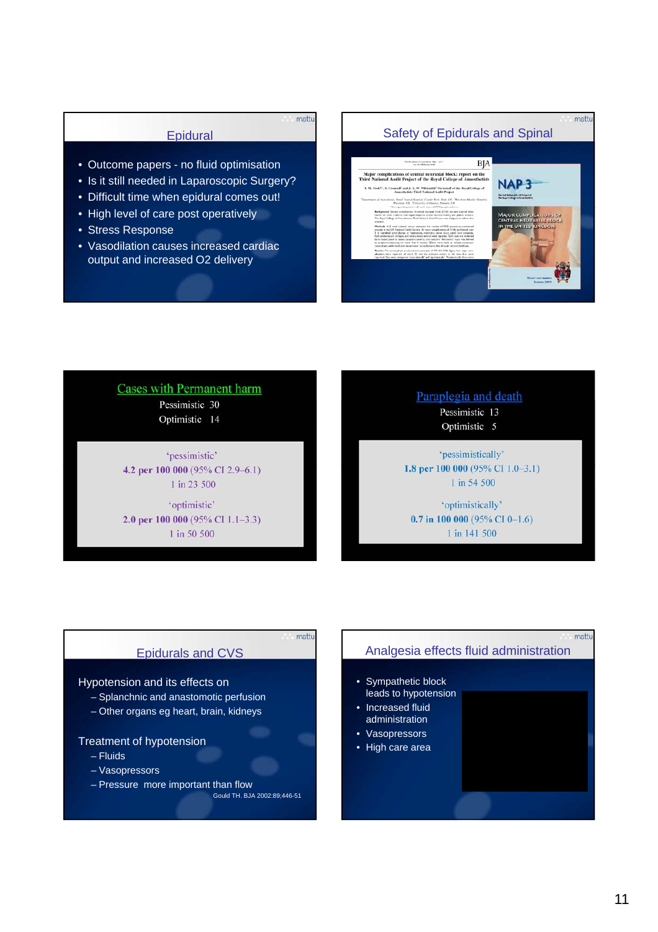#### **Epidural**

mattu

- Outcome papers no fluid optimisation
- Is it still needed in Laparoscopic Surgery?
- Difficult time when epidural comes out!
- High level of care post operatively
- Stress Response
- Vasodilation causes increased cardiac output and increased O2 delivery



mattu



#### **Cases with Permanent harm** Pessimistic 30

Optimistic 14

'pessimistic' 4.2 per 100 000 (95% CI 2.9-6.1) 1 in 23 500

'optimistic' 2.0 per 100 000 (95% CI 1.1-3.3) 1 in 50 500

#### Paraplegia and death Pessimistic 13

Optimistic 5

'pessimistically' 1.8 per 100 000 (95% CI 1.0-3.1) 1 in 54 500

'optimistically' 0.7 in 100 000 (95% CI 0-1.6) 1 in 141 500

#### Epidurals and CVS

#### Hypotension and its effects on

- Splanchnic and anastomotic perfusion
- Other organs eg heart, brain, kidneys

#### Treatment of hypotension

- Fluids
- Vasopressors
- Pressure more important than flow

Gould TH. BJA 2002:89;446-51

mattu

# mattu Analgesia effects fluid administration • Sympathetic block leads to hypotension • Increased fluid administration • Vasopressors • High care area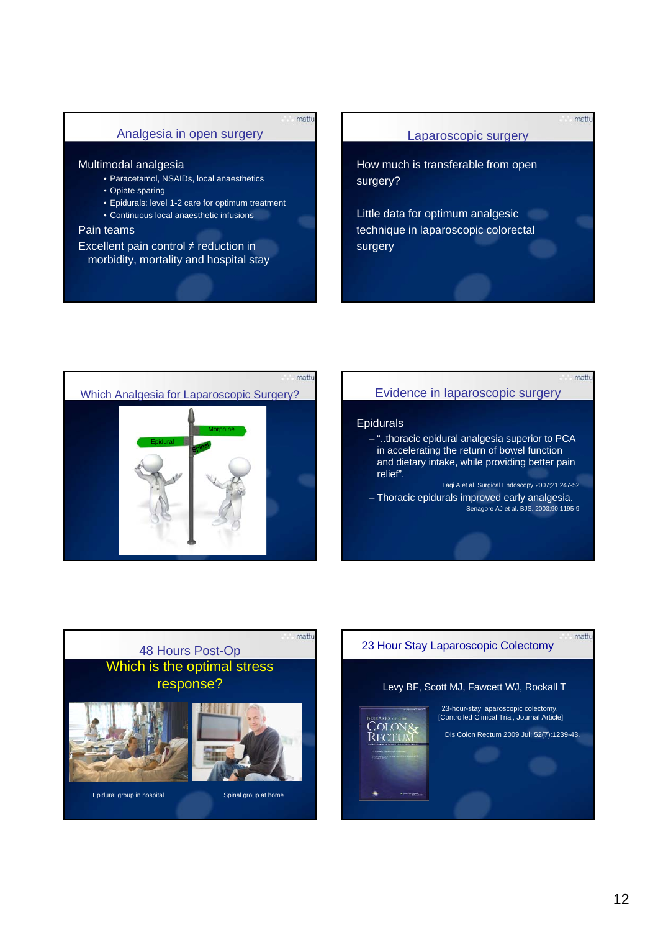#### Analgesia in open surgery

mattu

#### Multimodal analgesia

- Paracetamol, NSAIDs, local anaesthetics
- Opiate sparing
- Epidurals: level 1-2 care for optimum treatment
- Continuous local anaesthetic infusions

#### Pain teams

Excellent pain control  $\neq$  reduction in morbidity, mortality and hospital stay

#### Laparoscopic surgery

mattu

mattu

mattu

How much is transferable from open surgery?

Little data for optimum analgesic technique in laparoscopic colorectal surgery



#### Evidence in laparoscopic surgery

#### Epidurals

OLON& **Rectu** 

- "..thoracic epidural analgesia superior to PCA in accelerating the return of bowel function and dietary intake, while providing better pain relief".
- Taqi A et al. Surgical Endoscopy 2007;21:247-52 – Thoracic epidurals improved early analgesia. Senagore AJ et al. BJS. 2003;90:1195-9



# 23 Hour Stay Laparoscopic Colectomy

#### Levy BF, Scott MJ, Fawcett WJ, Rockall T

23-hour-stay laparoscopic colectomy. [Controlled Clinical Trial, Journal Article] Dis Colon Rectum 2009 Jul; 52(7):1239-43.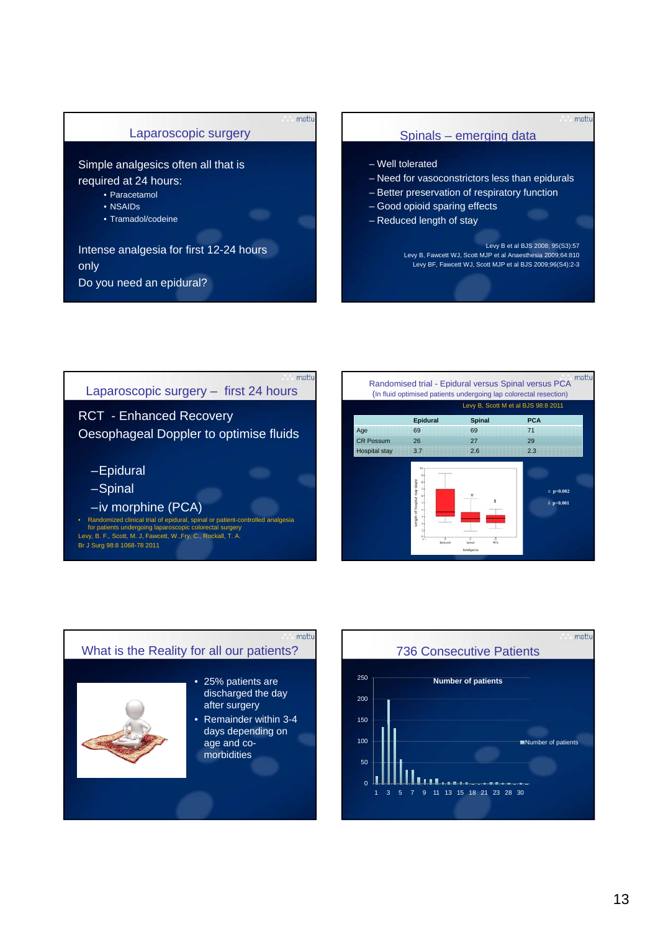

#### Spinals – emerging data

mattu

- Well tolerated
- Need for vasoconstrictors less than epidurals
- Better preservation of respiratory function
- Good opioid sparing effects
- Reduced length of stay

Levy B et al BJS 2008; 95(S3):57 Levy B, Fawcett WJ, Scott MJP et al Anaesthesia 2009;64:810 Levy BF, Fawcett WJ, Scott MJP et al BJS 2009;96(S4):2-3







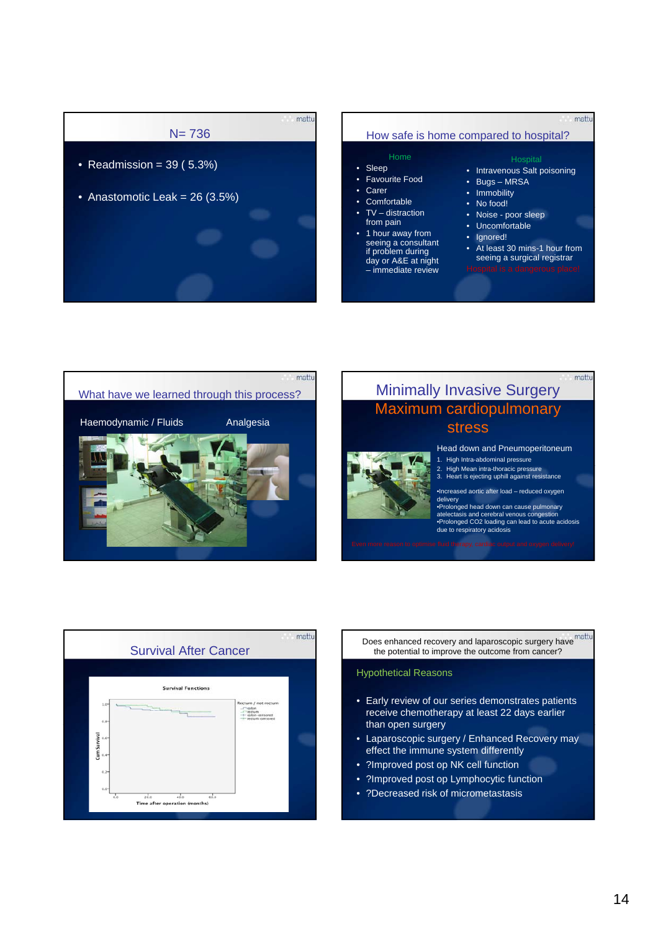

## How safe is home compared to hospital?

#### • Sleep

- Favourite Food
- Carer
- Comfortable
- TV distraction
- from pain
- 1 hour away from seeing a consultant if problem during day or A&E at night – immediate review

#### **Hospital**

mattu

mattu

- Intravenous Salt poisoning
- Bugs MRSA
- Immobility
- No food!
- Noise poor sleep
- Uncomfortable
- Ignored!
	- At least 30 mins-1 hour from seeing a surgical registrar
- 



# Minimally Invasive Surgery Maximum cardiopulmonary stress



- 2. High Mean intra-thoracic pressure 3. Heart is ejecting uphill against resistance
- •Increased aortic after load reduced oxygen delivery

•Prolonged head down can cause pulmonary atelectasis and cerebral venous congestion •Prolonged CO2 loading can lead to acute acidosis due to respiratory acidosis



the potential to improve the outcome from cancer?

#### Hypothetical Reasons

- Early review of our series demonstrates patients receive chemotherapy at least 22 days earlier than open surgery
- Laparoscopic surgery / Enhanced Recovery may effect the immune system differently
- ?Improved post op NK cell function
- ?Improved post op Lymphocytic function
- ?Decreased risk of micrometastasis